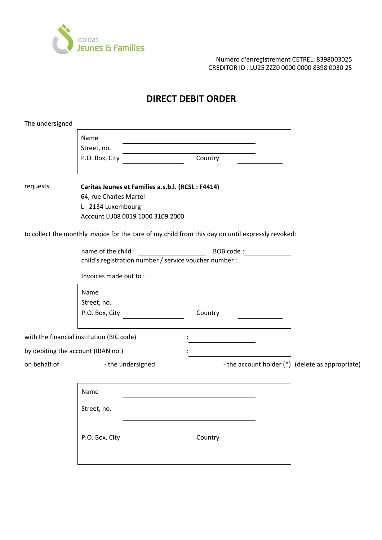

Numéro d'enregistrement CETREL: 8398003025 CREDITOR ID : LU25 ZZZ0 0000 0000 8398 0030 25

## **DIRECT DEBIT ORDER**

| The undersigned                           |                                                        |                   |                                                                                                   |  |                                                  |
|-------------------------------------------|--------------------------------------------------------|-------------------|---------------------------------------------------------------------------------------------------|--|--------------------------------------------------|
|                                           | Name                                                   |                   |                                                                                                   |  |                                                  |
|                                           | Street, no.                                            |                   |                                                                                                   |  |                                                  |
|                                           | P.O. Box, City                                         |                   | Country                                                                                           |  |                                                  |
| requests                                  | Caritas Jeunes et Families a.s.b.l. (RCSL: F4414)      |                   |                                                                                                   |  |                                                  |
|                                           | 64, rue Charles Martel                                 |                   |                                                                                                   |  |                                                  |
|                                           | L - 2134 Luxembourg                                    |                   |                                                                                                   |  |                                                  |
|                                           | Account LU08 0019 1000 3109 2000                       |                   |                                                                                                   |  |                                                  |
|                                           |                                                        |                   | to collect the monthly invoice for the care of my child from this day on until expressly revoked: |  |                                                  |
|                                           | name of the child :<br>BOB code:                       |                   |                                                                                                   |  |                                                  |
|                                           | child's registration number / service voucher number : |                   |                                                                                                   |  |                                                  |
|                                           | Invoices made out to:                                  |                   |                                                                                                   |  |                                                  |
|                                           | Name                                                   |                   |                                                                                                   |  |                                                  |
|                                           | Street, no.                                            |                   |                                                                                                   |  |                                                  |
|                                           | P.O. Box, City                                         |                   | Country                                                                                           |  |                                                  |
|                                           |                                                        |                   |                                                                                                   |  |                                                  |
| with the financial institution (BIC code) |                                                        |                   |                                                                                                   |  |                                                  |
| by debiting the account (IBAN no.)        |                                                        |                   |                                                                                                   |  |                                                  |
| on behalf of                              |                                                        | - the undersigned |                                                                                                   |  | - the account holder (*) (delete as appropriate) |
|                                           |                                                        |                   |                                                                                                   |  |                                                  |
|                                           | Name                                                   |                   |                                                                                                   |  |                                                  |
|                                           | Street, no.                                            |                   |                                                                                                   |  |                                                  |
|                                           |                                                        |                   |                                                                                                   |  |                                                  |
|                                           | P.O. Box, City                                         |                   | Country                                                                                           |  |                                                  |
|                                           |                                                        |                   |                                                                                                   |  |                                                  |
|                                           |                                                        |                   |                                                                                                   |  |                                                  |